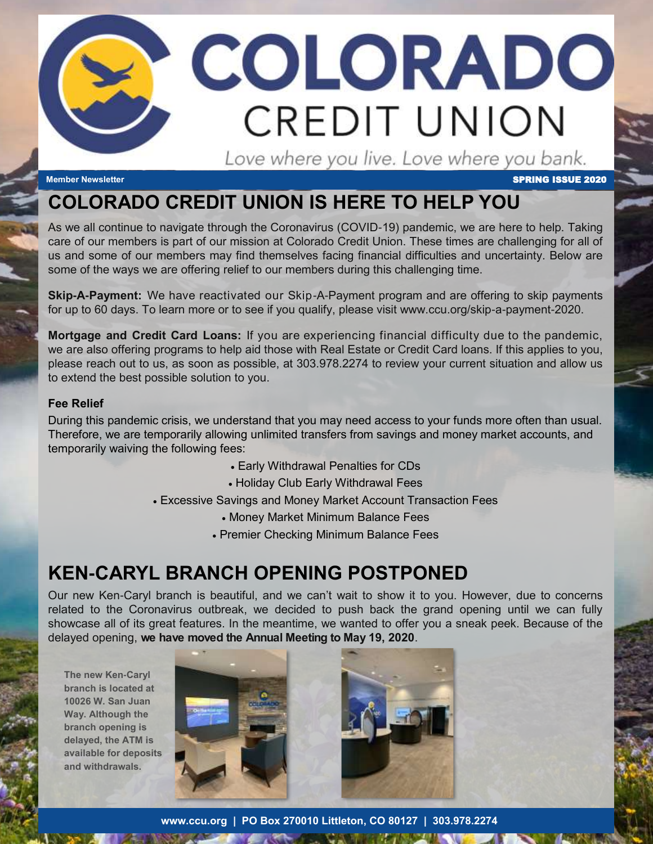# COLORADO **CREDIT UNION** Love where you live. Love where you bank.

**Member Newsletter** SPRING ISSUE 2020

## **COLORADO CREDIT UNION IS HERE TO HELP YOU**

 As we all continue to navigate through the Coronavirus (COVID-19) pandemic, we are here to help. Taking care of our members is part of our mission at Colorado Credit Union. These times are challenging for all of us and some of our members may find themselves facing financial difficulties and uncertainty. Below are some of the ways we are offering relief to our members during this challenging time.

 **Skip-A-Payment:** We have reactivated our Skip-A-Payment program and are offering to skip payments for up to 60 days. To learn more or to see if you qualify, please visit www.ccu.org/skip-a-payment-2020.

 **Mortgage and Credit Card Loans:** If you are experiencing financial difficulty due to the pandemic, we are also offering programs to help aid those with Real Estate or Credit Card loans. If this applies to you, please reach out to us, as soon as possible, at 303.978.2274 to review your current situation and allow us to extend the best possible solution to you.

#### **Fee Relief**

 During this pandemic crisis, we understand that you may need access to your funds more often than usual. Therefore, we are temporarily allowing unlimited transfers from savings and money market accounts, and temporarily waiving the following fees:

- Early Withdrawal Penalties for CDs
- Holiday Club Early Withdrawal Fees

Excessive Savings and Money Market Account Transaction Fees

- Money Market Minimum Balance Fees
- Premier Checking Minimum Balance Fees

## **KEN-CARYL BRANCH OPENING POSTPONED**

 Our new Ken-Caryl branch is beautiful, and we can't wait to show it to you. However, due to concerns related to the Coronavirus outbreak, we decided to push back the grand opening until we can fully showcase all of its great features. In the meantime, we wanted to offer you a sneak peek. Because of the delayed opening, **we have moved the Annual Meeting to May 19, 2020**.

**The new Ken-Caryl branch is located at 10026 W. San Juan Way. Although the branch opening is delayed, the ATM is available for deposits and withdrawals.**